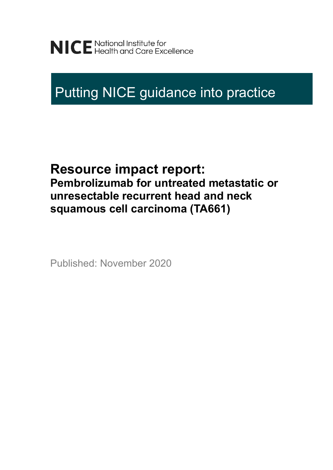# Putting NICE guidance into practice

# **Resource impact report: Pembrolizumab for untreated metastatic or unresectable recurrent head and neck squamous cell carcinoma (TA661)**

Published: November 2020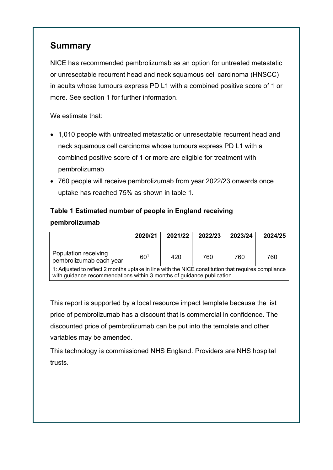## **Summary**

NICE has recommended pembrolizumab as an option for untreated metastatic or unresectable recurrent head and neck squamous cell carcinoma (HNSCC) in adults whose tumours express PD L1 with a combined positive score of 1 or more. See section 1 for further information.

We estimate that:

- 1,010 people with untreated metastatic or unresectable recurrent head and neck squamous cell carcinoma whose tumours express PD L1 with a combined positive score of 1 or more are eligible for treatment with pembrolizumab
- 760 people will receive pembrolizumab from year 2022/23 onwards once uptake has reached 75% as shown in table 1.

#### **Table 1 Estimated number of people in England receiving pembrolizumab**

|                                                                                                    | 2020/21         | 2021/22 | 2022/23 | 2023/24 | 2024/25 |
|----------------------------------------------------------------------------------------------------|-----------------|---------|---------|---------|---------|
| Population receiving<br>pembrolizumab each year                                                    | 60 <sup>1</sup> | 420     | 760     | 760     | 760     |
| 1: Adjusted to reflect 2 months uptake in line with the NICE constitution that requires compliance |                 |         |         |         |         |

with guidance recommendations within 3 months of guidance publication.

This report is supported by a local resource impact template because the list price of pembrolizumab has a discount that is commercial in confidence. The discounted price of pembrolizumab can be put into the template and other variables may be amended.

This technology is commissioned NHS England. Providers are NHS hospital trusts.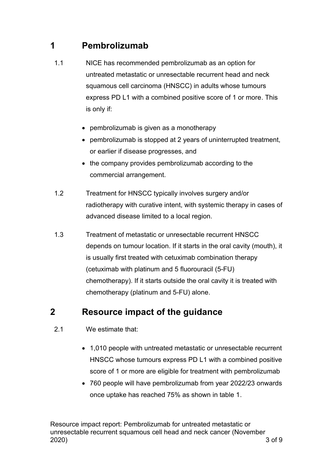# **1 Pembrolizumab**

- 1.1 NICE has recommended pembrolizumab as an option for untreated metastatic or unresectable recurrent head and neck squamous cell carcinoma (HNSCC) in adults whose tumours express PD L1 with a combined positive score of 1 or more. This is only if:
	- pembrolizumab is given as a monotherapy
	- pembrolizumab is stopped at 2 years of uninterrupted treatment, or earlier if disease progresses, and
	- the company provides pembrolizumab according to the commercial arrangement.
- 1.2 Treatment for HNSCC typically involves surgery and/or radiotherapy with curative intent, with systemic therapy in cases of advanced disease limited to a local region.
- 1.3 Treatment of metastatic or unresectable recurrent HNSCC depends on tumour location. If it starts in the oral cavity (mouth), it is usually first treated with cetuximab combination therapy (cetuximab with platinum and 5 fluorouracil (5-FU) chemotherapy). If it starts outside the oral cavity it is treated with chemotherapy (platinum and 5-FU) alone.

## **2 Resource impact of the guidance**

- 2.1 We estimate that:
	- 1,010 people with untreated metastatic or unresectable recurrent HNSCC whose tumours express PD L1 with a combined positive score of 1 or more are eligible for treatment with pembrolizumab
	- 760 people will have pembrolizumab from year 2022/23 onwards once uptake has reached 75% as shown in table 1.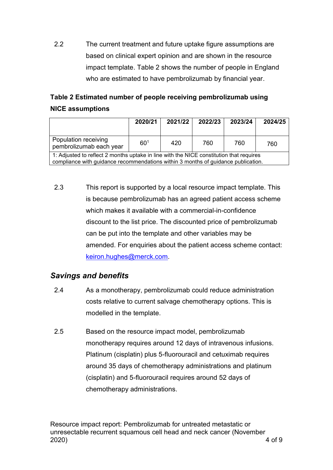2.2 The current treatment and future uptake figure assumptions are based on clinical expert opinion and are shown in the resource impact template. Table 2 shows the number of people in England who are estimated to have pembrolizumab by financial year.

#### **Table 2 Estimated number of people receiving pembrolizumab using NICE assumptions**

|                                                                                                                                                                              | 2020/21  | 2021/22 | 2022/23 | 2023/24 | 2024/25 |
|------------------------------------------------------------------------------------------------------------------------------------------------------------------------------|----------|---------|---------|---------|---------|
| Population receiving<br>pembrolizumab each year                                                                                                                              | $60^{1}$ | 420     | 760     | 760     | 760     |
| 1: Adjusted to reflect 2 months uptake in line with the NICE constitution that requires<br>compliance with guidance recommendations within 3 months of guidance publication. |          |         |         |         |         |

2.3 This report is supported by a local resource impact template. This is because pembrolizumab has an agreed patient access scheme which makes it available with a commercial-in-confidence discount to the list price. The discounted price of pembrolizumab can be put into the template and other variables may be amended. For enquiries about the patient access scheme contact: [keiron.hughes@merck.com.](mailto:keiron.hughes@merck.com)

#### *Savings and benefits*

- 2.4 As a monotherapy, pembrolizumab could reduce administration costs relative to current salvage chemotherapy options. This is modelled in the template.
- 2.5 Based on the resource impact model, pembrolizumab monotherapy requires around 12 days of intravenous infusions. Platinum (cisplatin) plus 5-fluorouracil and cetuximab requires around 35 days of chemotherapy administrations and platinum (cisplatin) and 5-fluorouracil requires around 52 days of chemotherapy administrations.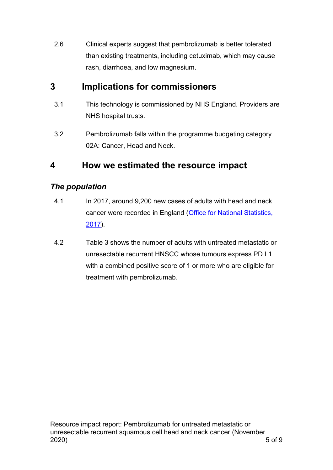2.6 Clinical experts suggest that pembrolizumab is better tolerated than existing treatments, including cetuximab, which may cause rash, diarrhoea, and low magnesium.

# **3 Implications for commissioners**

- 3.1 This technology is commissioned by NHS England. Providers are NHS hospital trusts.
- 3.2 Pembrolizumab falls within the programme budgeting category 02A: Cancer, Head and Neck.

# **4 How we estimated the resource impact**

#### *The population*

- 4.1 In 2017, around 9,200 new cases of adults with head and neck cancer were recorded in England [\(Office for National Statistics,](https://www.ons.gov.uk/peoplepopulationandcommunity/healthandsocialcare/conditionsanddiseases/datasets/cancerregistrationstatisticscancerregistrationstatisticsengland) 2017).
- 4.2 Table 3 shows the number of adults with untreated metastatic or unresectable recurrent HNSCC whose tumours express PD L1 with a combined positive score of 1 or more who are eligible for treatment with pembrolizumab.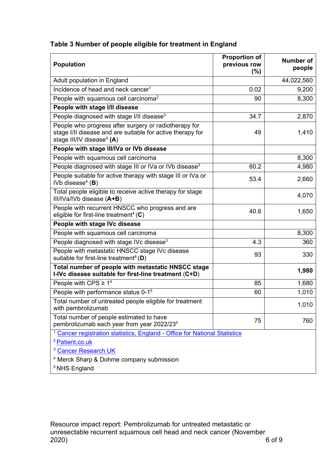| Table 3 Number of people eligible for treatment in England |  |  |
|------------------------------------------------------------|--|--|
|                                                            |  |  |

| <b>Population</b>                                                                                                                                   | <b>Proportion of</b><br>previous row<br>$(\%)$ | <b>Number of</b><br>people |
|-----------------------------------------------------------------------------------------------------------------------------------------------------|------------------------------------------------|----------------------------|
| Adult population in England                                                                                                                         |                                                | 44,022,560                 |
| Incidence of head and neck cancer <sup>1</sup>                                                                                                      | 0.02                                           | 9,200                      |
| People with squamous cell carcinoma <sup>2</sup>                                                                                                    | 90                                             | 8,300                      |
| People with stage I/II disease                                                                                                                      |                                                |                            |
| People diagnosed with stage I/II disease <sup>3</sup>                                                                                               | 34.7                                           | 2,870                      |
| People who progress after surgery or radiotherapy for<br>stage I/II disease and are suitable for active therapy for<br>stage III/IV disease $4$ (A) | 49                                             | 1,410                      |
| People with stage III/IVa or IVb disease                                                                                                            |                                                |                            |
| People with squamous cell carcinoma                                                                                                                 |                                                | 8,300                      |
| People diagnosed with stage III or IVa or IVb disease <sup>3</sup>                                                                                  | 60.2                                           | 4,980                      |
| People suitable for active therapy with stage III or IVa or<br>IVb disease $4$ (B)                                                                  | 53.4                                           | 2,660                      |
| Total people eligible to receive active therapy for stage<br>III/IVa/IVb disease (A+B)                                                              |                                                | 4,070                      |
| People with recurrent HNSCC who progress and are<br>eligible for first-line treatment <sup>4</sup> (C)                                              | 40.6                                           | 1,650                      |
| People with stage IVc disease                                                                                                                       |                                                |                            |
| People with squamous cell carcinoma                                                                                                                 |                                                | 8,300                      |
| People diagnosed with stage IVc disease <sup>3</sup>                                                                                                | 4.3                                            | 360                        |
| People with metastatic HNSCC stage IVc disease<br>suitable for first-line treatment <sup>4</sup> (D)                                                | 93                                             | 330                        |
| Total number of people with metastatic HNSCC stage<br>I-IVc disease suitable for first-line treatment (C+D)                                         |                                                | 1,980                      |
| People with CPS $\geq 1^4$                                                                                                                          | 85                                             | 1,680                      |
| People with performance status 0-1 <sup>5</sup>                                                                                                     | 60                                             | 1,010                      |
| Total number of untreated people eligible for treatment<br>with pembrolizumab                                                                       |                                                | 1,010                      |
| Total number of people estimated to have<br>pembrolizumab each year from year 2022/23 <sup>5</sup>                                                  | 75                                             | 760                        |
| Cancer registration statistics, England - Office for National Statistics<br><sup>2</sup> Patient.co.uk                                              |                                                |                            |
| <sup>3</sup> Cancer Research UK                                                                                                                     |                                                |                            |
| <sup>4</sup> Merck Sharp & Dohme company submission                                                                                                 |                                                |                            |
| <sup>5</sup> NHS England                                                                                                                            |                                                |                            |

Resource impact report: Pembrolizumab for untreated metastatic or unresectable recurrent squamous cell head and neck cancer (November 2020) 6 of 9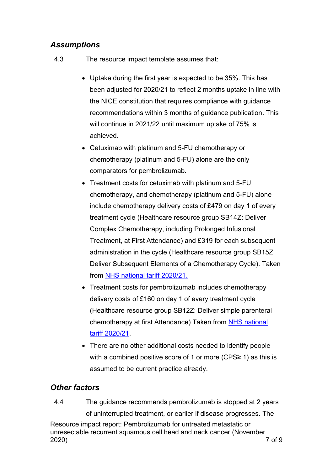#### *Assumptions*

- 4.3 The resource impact template assumes that:
	- Uptake during the first year is expected to be 35%. This has been adjusted for 2020/21 to reflect 2 months uptake in line with the NICE constitution that requires compliance with guidance recommendations within 3 months of guidance publication. This will continue in 2021/22 until maximum uptake of 75% is achieved.
	- Cetuximab with platinum and 5-FU chemotherapy or chemotherapy (platinum and 5-FU) alone are the only comparators for pembrolizumab.
	- Treatment costs for cetuximab with platinum and 5-FU chemotherapy, and chemotherapy (platinum and 5-FU) alone include chemotherapy delivery costs of £479 on day 1 of every treatment cycle (Healthcare resource group SB14Z: Deliver Complex Chemotherapy, including Prolonged Infusional Treatment, at First Attendance) and £319 for each subsequent administration in the cycle (Healthcare resource group SB15Z Deliver Subsequent Elements of a Chemotherapy Cycle). Taken from [NHS national tariff 2020/21.](https://improvement.nhs.uk/resources/national-tariff-2021-consultation/)
	- Treatment costs for pembrolizumab includes chemotherapy delivery costs of £160 on day 1 of every treatment cycle (Healthcare resource group SB12Z: Deliver simple parenteral chemotherapy at first Attendance) Taken from NHS national [tariff 2020/21.](https://improvement.nhs.uk/resources/national-tariff-2021-consultation/)
	- There are no other additional costs needed to identify people with a combined positive score of 1 or more (CPS≥ 1) as this is assumed to be current practice already.

#### *Other factors*

Resource impact report: Pembrolizumab for untreated metastatic or unresectable recurrent squamous cell head and neck cancer (November 2020) 7 of 9 4.4 The guidance recommends pembrolizumab is stopped at 2 years of uninterrupted treatment, or earlier if disease progresses. The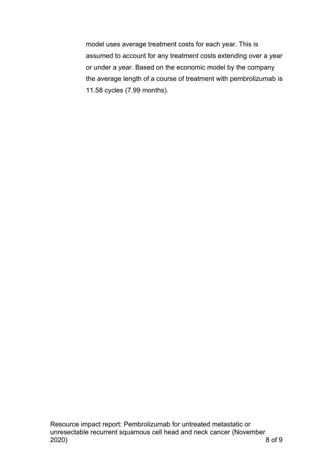model uses average treatment costs for each year. This is assumed to account for any treatment costs extending over a year or under a year. Based on the economic model by the company the average length of a course of treatment with pembrolizumab is 11.58 cycles (7.99 months).